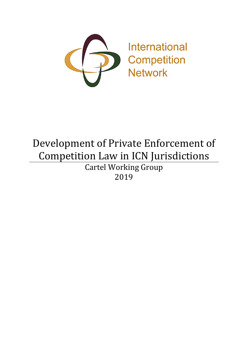

# Development of Private Enforcement of Competition Law in ICN Jurisdictions Cartel Working Group 2019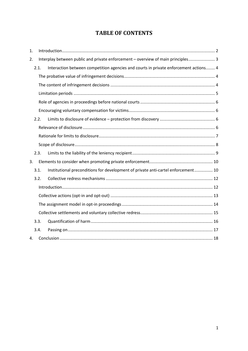# **TABLE OF CONTENTS**

| 1. |      |                                                                                      |  |
|----|------|--------------------------------------------------------------------------------------|--|
| 2. |      | Interplay between public and private enforcement - overview of main principles 3     |  |
|    | 2.1. | Interaction between competition agencies and courts in private enforcement actions 4 |  |
|    |      |                                                                                      |  |
|    |      |                                                                                      |  |
|    |      |                                                                                      |  |
|    |      |                                                                                      |  |
|    |      |                                                                                      |  |
|    | 2.2. |                                                                                      |  |
|    |      |                                                                                      |  |
|    |      |                                                                                      |  |
|    |      |                                                                                      |  |
|    | 2.3. |                                                                                      |  |
| 3. |      |                                                                                      |  |
|    | 3.1. | Institutional preconditions for development of private anti-cartel enforcement 10    |  |
|    | 3.2. |                                                                                      |  |
|    |      |                                                                                      |  |
|    |      |                                                                                      |  |
|    |      |                                                                                      |  |
|    |      |                                                                                      |  |
|    | 3.3. |                                                                                      |  |
|    | 3.4. |                                                                                      |  |
| 4. |      |                                                                                      |  |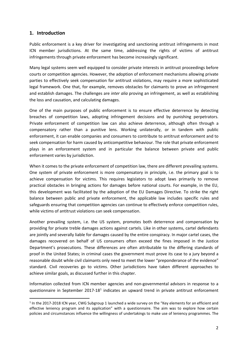# <span id="page-2-0"></span>**1. Introduction**

Public enforcement is a key driver for investigating and sanctioning antitrust infringements in most ICN member jurisdictions. At the same time, addressing the rights of victims of antitrust infringements through private enforcement has become increasingly significant.

Many legal systems seem well equipped to consider private interests in antitrust proceedings before courts or competition agencies. However, the adoption of enforcement mechanisms allowing private parties to effectively seek compensation for antitrust violations, may require a more sophisticated legal framework. One that, for example, removes obstacles for claimants to prove an infringement and establish damages. The challenges are *inter alia* proving an infringement, as well as establishing the loss and causation, and calculating damages.

One of the main purposes of public enforcement is to ensure effective deterrence by detecting breaches of competition laws, adopting infringement decisions and by punishing perpetrators. Private enforcement of competition law can also achieve deterrence, although often through a compensatory rather than a punitive lens. Working unilaterally, or in tandem with public enforcement, it can enable companies and consumers to contribute to antitrust enforcement and to seek compensation for harm caused by anticompetitive behaviour. The role that private enforcement plays in an enforcement system and in particular the balance between private and public enforcement varies by jurisdiction.

When it comes to the private enforcement of competition law, there are different prevailing systems. One system of private enforcement is more compensatory in principle, i.e. the primary goal is to achieve compensation for victims. This requires legislators to adopt laws primarily to remove practical obstacles in bringing actions for damages before national courts. For example, in the EU, this development was facilitated by the adoption of the EU Damages Directive. To strike the right balance between public and private enforcement, the applicable law includes specific rules and safeguards ensuring that competition agencies can continue to effectively enforce competition rules, while victims of antitrust violations can seek compensation.

Another prevailing system, i.e. the US system, promotes both deterrence and compensation by providing for private treble damages actions against cartels. Like in other systems, cartel defendants are jointly and severally liable for damages caused by the entire conspiracy. In major cartel cases, the damages recovered on behalf of US consumers often exceed the fines imposed in the Justice Department's prosecutions. These differences are often attributable to the differing standards of proof in the United States; in criminal cases the government must prove its case to a jury beyond a reasonable doubt while civil claimants only need to meet the lower "preponderance of the evidence" standard. Civil recoveries go to victims. Other jurisdictions have taken different approaches to achieve similar goals, as discussed further in this chapter.

Information collected from ICN member agencies and non-governmental advisors in response to a questionnaire in September 2017-18<sup>1</sup> indicates an upward trend in private antitrust enforcement

<span id="page-2-1"></span><sup>&</sup>lt;sup>1</sup> In the 2017-2018 ICN year, CWG Subgroup 1 launched a wide survey on the "Key elements for an efficient and effective leniency program and its application" with a questionnaire. The aim was to explore how certain policies and circumstances influence the willingness of undertakings to make use of leniency programmes. The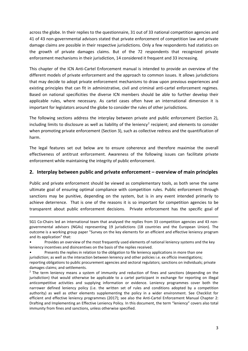across the globe. In their replies to the questionnaire, 31 out of 33 national competition agencies and 41 of 43 non-governmental advisors stated that private enforcement of competition law and private damage claims are possible in their respective jurisdictions. Only a few respondents had statistics on the growth of private damages claims. But of the 72 respondents that recognized private enforcement mechanisms in their jurisdiction, 14 considered it frequent and 33 increasing.

This chapter of the ICN Anti-Cartel Enforcement manual is intended to provide an overview of the different models of private enforcement and the approach to common issues. It allows jurisdictions that may decide to adopt private enforcement mechanisms to draw upon previous experiences and existing principles that can fit in administrative, civil and criminal anti-cartel enforcement regimes. Based on national specificities the diverse ICN members should be able to further develop their applicable rules, where necessary. As cartel cases often have an international dimension it is important for legislators around the globe to consider the rules of other jurisdictions.

The following sections address the interplay between private and public enforcement (Section 2), including limits to disclosure as well as liability of the leniency<sup>[2](#page-3-1)</sup> recipient; and elements to consider when promoting private enforcement (Section 3), such as collective redress and the quantification of harm.

The legal features set out below are to ensure coherence and therefore maximise the overall effectiveness of antitrust enforcement. Awareness of the following issues can facilitate private enforcement while maintaining the integrity of public enforcement.

## <span id="page-3-0"></span>**2. Interplay between public and private enforcement – overview of main principles**

Public and private enforcement should be viewed as complementary tools, as both serve the same ultimate goal of ensuring optimal compliance with competition rules. Public enforcement through sanctions may be punitive, depending on the system, but is in any event intended primarily to achieve deterrence. That is one of the reasons it is so important for competition agencies to be transparent about public enforcement decisions. Private enforcement has the specific goal of

**.** 

SG1 Co-Chairs led an international team that analysed the replies from 33 competition agencies and 43 nongovernmental advisors (NGAs) representing 19 jurisdictions (18 countries and the European Union). The outcome is a working group paper "Survey on the key elements for an efficient and effective leniency program and its application" that:

<sup>•</sup> Provides an overview of the most frequently used elements of national leniency systems and the key leniency incentives and disincentives on the basis of the replies received.

Presents the replies in relation to the obligation to file leniency applications in more than one jurisdiction; as well as the interaction between leniency and other policies i.e. ex officio investigations; reporting obligations to public procurement agencies and sectoral regulators; sanctions on individuals; private damages claims; and settlements.

<span id="page-3-1"></span> $<sup>2</sup>$  The term leniency means a system of immunity and reduction of fines and sanctions (depending on the</sup> jurisdiction) that would otherwise be applicable to a cartel participant in exchange for reporting on illegal anticompetitive activities and supplying information or evidence. Leniency programmes cover both the narrower defined leniency policy (i.e. the written set of rules and conditions adopted by a competition authority) as well as other elements supplementing the policy in a wider environment. See Checklist for efficient and effective leniency programmes (2017); see also the Anti-Cartel Enforcement Manual Chapter 2: Drafting and Implementing an Effective Leniency Policy. In this document, the term "leniency" covers also total immunity from fines and sanctions, unless otherwise specified.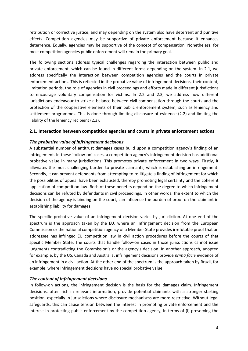retribution or corrective justice, and may depending on the system also have deterrent and punitive effects. Competition agencies may be supportive of private enforcement because it enhances deterrence. Equally, agencies may be supportive of the concept of compensation. Nonetheless, for most competition agencies public enforcement will remain the primary goal.

The following sections address typical challenges regarding the interaction between public and private enforcement, which can be found in different forms depending on the system. In 2.1, we address specifically the interaction between competition agencies and the courts in private enforcement actions. This is reflected in the probative value of infringement decisions, their content, limitation periods, the role of agencies in civil proceedings and efforts made in different jurisdictions to encourage voluntary compensation for victims. In 2.2 and 2.3, we address how different jurisdictions endeavour to strike a balance between civil compensation through the courts and the protection of the cooperative elements of their public enforcement system, such as leniency and settlement programmes. This is done through limiting disclosure of evidence (2.2) and limiting the liability of the leniency recipient (2.3).

#### <span id="page-4-0"></span>**2.1. Interaction between competition agencies and courts in private enforcement actions**

#### <span id="page-4-1"></span>*The probative value of infringement decisions*

A substantial number of antitrust damages cases build upon a competition agency's finding of an infringement. In these 'follow-on' cases, a competition agency's infringement decision has additional probative value in many jurisdictions. This promotes private enforcement in two ways. Firstly, it alleviates the most challenging burden to private claimants, which is establishing an infringement. Secondly, it can prevent defendants from attempting to re-litigate a finding of infringement for which the possibilities of appeal have been exhausted, thereby promoting legal certainty and the coherent application of competition law. Both of these benefits depend on the degree to which infringement decisions can be refuted by defendants in civil proceedings. In other words, the extent to which the decision of the agency is binding on the court, can influence the burden of proof on the claimant in establishing liability for damages.

The specific probative value of an infringement decision varies by jurisdiction. At one end of the spectrum is the approach taken by the EU, where an infringement decision from the European Commission or the national competition agency of a Member State provides irrefutable proof that an addressee has infringed EU competition law in civil action procedures before the courts of that specific Member State. The courts that handle follow-on cases in those jurisdictions cannot issue judgments contradicting the Commission's or the agency's decision. In another approach, adopted for example, by the US, Canada and Australia, infringement decisions provide *prima facie* evidence of an infringement in a civil action. At the other end of the spectrum is the approach taken by Brazil, for example, where infringement decisions have no special probative value.

#### <span id="page-4-2"></span>*The content of infringement decisions*

In follow-on actions, the infringement decision is the basis for the damages claim. Infringement decisions, often rich in relevant information, provide potential claimants with a stronger starting position, especially in jurisdictions where disclosure mechanisms are more restrictive. Without legal safeguards, this can cause tension between the interest in promoting private enforcement and the interest in protecting public enforcement by the competition agency, in terms of (i) preserving the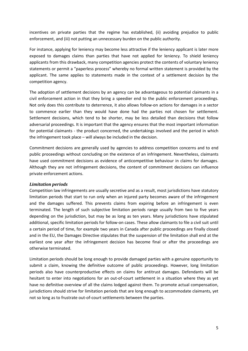incentives on private parties that the regime has established, (ii) avoiding prejudice to public enforcement, and (iii) not putting an unnecessary burden on the public authority.

For instance, applying for leniency may become less attractive if the leniency applicant is later more exposed to damages claims than parties that have not applied for leniency. To shield leniency applicants from this drawback, many competition agencies protect the contents of voluntary leniency statements or permit a "paperless process" whereby no formal written statement is provided by the applicant. The same applies to statements made in the context of a settlement decision by the competition agency.

The adoption of settlement decisions by an agency can be advantageous to potential claimants in a civil enforcement action in that they bring a speedier end to the public enforcement proceedings. Not only does this contribute to deterrence, it also allows follow-on actions for damages in a sector to commence earlier than they would have done had the parties not chosen for settlement. Settlement decisions, which tend to be shorter, may be less detailed than decisions that follow adversarial proceedings. It is important that the agency ensures that the most important information for potential claimants - the product concerned, the undertakings involved and the period in which the infringement took place – will always be included in the decision.

Commitment decisions are generally used by agencies to address competition concerns and to end public proceedings without concluding on the existence of an infringement. Nevertheless, claimants have used commitment decisions as evidence of anticompetitive behaviour in claims for damages. Although they are not infringement decisions, the content of commitment decisions can influence private enforcement actions.

#### <span id="page-5-0"></span>*Limitation periods*

Competition law infringements are usually secretive and as a result, most jurisdictions have statutory limitation periods that start to run only when an injured party becomes aware of the infringement and the damages suffered. This prevents claims from expiring before an infringement is even terminated. The length of such subjective limitation periods range usually from two to five years depending on the jurisdiction, but may be as long as ten years. Many jurisdictions have stipulated additional, specific limitation periods for follow-on cases. These allow claimants to file a civil suit until a certain period of time, for example two years in Canada after public proceedings are finally closed and in the EU, the Damages Directive stipulates that the suspension of the limitation shall end at the earliest one year after the infringement decision has become final or after the proceedings are otherwise terminated.

Limitation periods should be long enough to provide damaged parties with a genuine opportunity to submit a claim, knowing the definitive outcome of public proceedings. However, long limitation periods also have counterproductive effects on claims for antitrust damages. Defendants will be hesitant to enter into negotiations for an out-of-court settlement in a situation where they as yet have no definitive overview of all the claims lodged against them. To promote actual compensation, jurisdictions should strive for limitation periods that are long enough to accommodate claimants, yet not so long as to frustrate out-of-court settlements between the parties.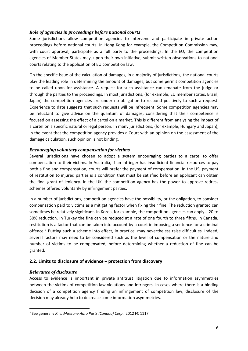#### <span id="page-6-0"></span>*Role of agencies in proceedings before national courts*

Some jurisdictions allow competition agencies to intervene and participate in private action proceedings before national courts. In Hong Kong for example, the Competition Commission may, with court approval, participate as a full party to the proceedings. In the EU, the competition agencies of Member States may, upon their own initiative, submit written observations to national courts relating to the application of EU competition law.

On the specific issue of the calculation of damages, in a majority of jurisdictions, the national courts play the leading role in determining the amount of damages, but some permit competition agencies to be called upon for assistance. A request for such assistance can emanate from the judge or through the parties to the proceedings. In most jurisdictions, (for example, EU member states, Brazil, Japan) the competition agencies are under no obligation to respond positively to such a request. Experience to date suggests that such requests will be infrequent. Some competition agencies may be reluctant to give advice on the quantum of damages, considering that their competence is focused on assessing the effect of a cartel on a market. This is different from analysing the impact of a cartel on a specific natural or legal person. In many jurisdictions, (for example, Hungary and Japan), in the event that the competition agency provides a Court with an opinion on the assessment of the damage calculation, such opinion is not binding.

## <span id="page-6-1"></span>*Encouraging voluntary compensation for victims*

Several jurisdictions have chosen to adopt a system encouraging parties to a cartel to offer compensation to their victims. In Australia, if an infringer has insufficient financial resources to pay both a fine and compensation, courts will prefer the payment of compensation. In the US, payment of restitution to injured parties is a condition that must be satisfied before an applicant can obtain the final grant of leniency. In the UK, the competition agency has the power to approve redress schemes offered voluntarily by infringement parties.

In a number of jurisdictions, competition agencies have the possibility, or the obligation, to consider compensation paid to victims as a mitigating factor when fixing their fine. The reduction granted can sometimes be relatively significant. In Korea, for example, the competition agencies can apply a 20 to 30% reduction. In Turkey the fine can be reduced at a rate of one fourth to three fifths. In Canada, restitution is a factor that can be taken into account by a court in imposing a sentence for a criminal offence.[3](#page-6-4) Putting such a scheme into effect, in practice, may nevertheless raise difficulties. Indeed, several factors may need to be considered such as the level of compensation or the nature and number of victims to be compensated, before determining whether a reduction of fine can be granted.

# <span id="page-6-2"></span>**2.2. Limits to disclosure of evidence – protection from discovery**

#### <span id="page-6-3"></span>*Relevance of disclosure*

Access to evidence is important in private antitrust litigation due to information asymmetries between the victims of competition law violations and infringers. In cases where there is a binding decision of a competition agency finding an infringement of competition law, disclosure of the decision may already help to decrease some information asymmetries.

<span id="page-6-4"></span> <sup>3</sup> See generally *R. v. Maxzone Auto Parts (Canada) Corp*., 2012 FC 1117.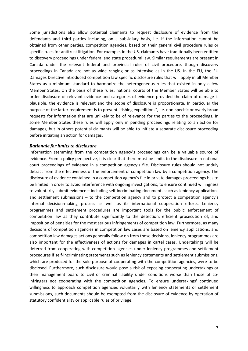Some jurisdictions also allow potential claimants to request disclosure of evidence from the defendants and third parties including, on a subsidiary basis, i.e. if the information cannot be obtained from other parties, competition agencies, based on their general civil procedure rules or specific rules for antitrust litigation. For example, in the US, claimants have traditionally been entitled to discovery proceedings under federal and state procedural law. Similar requirements are present in Canada under the relevant federal and provincial rules of civil procedure, though discovery proceedings in Canada are not as wide ranging or as intensive as in the US. In the EU, the EU Damages Directive introduced competition law specific disclosure rules that will apply in all Member States as a minimum standard to harmonize the heterogeneous rules that existed in only a few Member States. On the basis of these rules, national courts of the Member States will be able to order disclosure of relevant evidence and categories of evidence provided the claim of damage is plausible, the evidence is relevant and the scope of disclosure is proportionate. In particular the purpose of the latter requirement is to prevent "fishing expeditions", i.e. non-specific or overly broad requests for information that are unlikely to be of relevance for the parties to the proceedings. In some Member States these rules will apply only in pending proceedings relating to an action for damages, but in others potential claimants will be able to initiate a separate disclosure proceeding before initiating an action for damages.

#### <span id="page-7-0"></span>*Rationale for limits to disclosure*

Information stemming from the competition agency's proceedings can be a valuable source of evidence. From a policy perspective, it is clear that there must be limits to the disclosure in national court proceedings of evidence in a competition agency's file. Disclosure rules should not unduly detract from the effectiveness of the enforcement of competition law by a competition agency. The disclosure of evidence contained in a competition agency's file in private damages proceedings has to be limited in order to avoid interference with ongoing investigations, to ensure continued willingness to voluntarily submit evidence – including self-incriminating documents such as leniency applications and settlement submissions – to the competition agency and to protect a competition agency's internal decision-making process as well as its international cooperation efforts. Leniency programmes and settlement procedures are important tools for the public enforcement of competition law as they contribute significantly to the detection, efficient prosecution of, and imposition of penalties for the most serious infringements of competition law. Furthermore, as many decisions of competition agencies in competition law cases are based on leniency applications, and competition law damages actions generally follow on from those decisions, leniency programmes are also important for the effectiveness of actions for damages in cartel cases. Undertakings will be deterred from cooperating with competition agencies under leniency programmes and settlement procedures if self-incriminating statements such as leniency statements and settlement submissions, which are produced for the sole purpose of cooperating with the competition agencies, were to be disclosed. Furthermore, such disclosure would pose a risk of exposing cooperating undertakings or their management board to civil or criminal liability under conditions worse than those of coinfringers not cooperating with the competition agencies. To ensure undertakings' continued willingness to approach competition agencies voluntarily with leniency statements or settlement submissions, such documents should be exempted from the disclosure of evidence by operation of statutory confidentiality or applicable rules of privilege.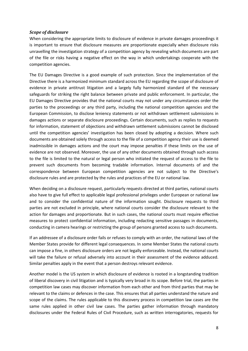#### <span id="page-8-0"></span>*Scope of disclosure*

When considering the appropriate limits to disclosure of evidence in private damages proceedings it is important to ensure that disclosure measures are proportionate especially when disclosure risks unravelling the investigation strategy of a competition agency by revealing which documents are part of the file or risks having a negative effect on the way in which undertakings cooperate with the competition agencies.

The EU Damages Directive is a good example of such protection. Since the implementation of the Directive there is a harmonized minimum standard across the EU regarding the scope of disclosure of evidence in private antitrust litigation and a largely fully harmonized standard of the necessary safeguards for striking the right balance between private and public enforcement. In particular, the EU Damages Directive provides that the national courts may not under any circumstances order the parties to the proceedings or any third party, including the national competition agencies and the European Commission, to disclose leniency statements or not withdrawn settlement submissions in damages actions or separate disclosure proceedings. Certain documents, such as replies to requests for information, statement of objections and withdrawn settlement submissions cannot be disclosed until the competition agencies' investigation has been closed by adopting a decision. Where such documents are obtained solely through access to the file of a competition agency their use is deemed inadmissible in damages actions and the court may impose penalties if these limits on the use of evidence are not observed. Moreover, the use of any other documents obtained through such access to the file is limited to the natural or legal person who initiated the request of access to the file to prevent such documents from becoming tradable information. Internal documents of and the correspondence between European competition agencies are not subject to the Directive's disclosure rules and are protected by the rules and practices of the EU or national law.

When deciding on a disclosure request, particularly requests directed at third parties, national courts also have to give full effect to applicable legal professional privileges under European or national law and to consider the confidential nature of the information sought. Disclosure requests to third parties are not excluded in principle, where national courts consider the disclosure relevant to the action for damages and proportionate. But in such cases, the national courts must require effective measures to protect confidential information, including redacting sensitive passages in documents, conducting in camera hearings or restricting the group of persons granted access to such documents.

If an addressee of a disclosure order fails or refuses to comply with an order, the national laws of the Member States provide for different legal consequences. In some Member States the national courts can impose a fine, in others disclosure orders are not legally enforceable. Instead, the national courts will take the failure or refusal adversely into account in their assessment of the evidence adduced. Similar penalties apply in the event that a person destroys relevant evidence.

Another model is the US system in which disclosure of evidence is rooted in a longstanding tradition of liberal discovery in civil litigation and is typically very broad in its scope. Before trial, the parties in competition law cases may discover information from each other and from third parties that may be relevant to the claims or defences in the case. This ensures that all parties understand the nature and scope of the claims. The rules applicable to this discovery process in competition law cases are the same rules applied in other civil law cases. The parties gather information through mandatory disclosures under the Federal Rules of Civil Procedure, such as written interrogatories, requests for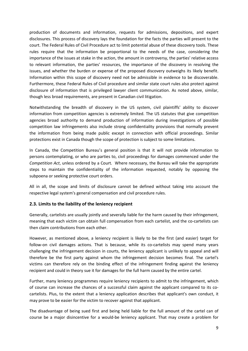production of documents and information, requests for admissions, depositions, and expert disclosures. This process of discovery lays the foundation for the facts the parties will present to the court. The Federal Rules of Civil Procedure act to limit potential abuse of these discovery tools. These rules require that the information be proportional to the needs of the case, considering the importance of the issues at stake in the action, the amount in controversy, the parties' relative access to relevant information, the parties' resources, the importance of the discovery in resolving the issues, and whether the burden or expense of the proposed discovery outweighs its likely benefit. Information within this scope of discovery need not be admissible in evidence to be discoverable. Furthermore, these Federal Rules of Civil procedure and similar state court rules also protect against disclosure of information that is privileged lawyer client communication. As noted above, similar, though less broad requirements, are present in Canadian civil litigation.

Notwithstanding the breadth of discovery in the US system, civil plaintiffs' ability to discover information from competition agencies is extremely limited. The US statutes that give competition agencies broad authority to demand production of information during investigations of possible competition law infringements also include strong confidentiality provisions that normally prevent the information from being made public except in connection with official proceedings. Similar protections exist in Canada though the scope of protection is subject to some limitations.

In Canada, the Competition Bureau's general position is that it will not provide information to persons contemplating, or who are parties to, civil proceedings for damages commenced under the *Competition Act*, unless ordered by a Court*.* Where necessary, the Bureau will take the appropriate steps to maintain the confidentiality of the information requested, notably by opposing the subpoena or seeking protective court orders.

All in all, the scope and limits of disclosure cannot be defined without taking into account the respective legal system's general compensation and civil procedure rules.

#### <span id="page-9-0"></span>**2.3. Limits to the liability of the leniency recipient**

Generally, cartelists are usually jointly and severally liable for the harm caused by their infringement, meaning that each victim can obtain full compensation from each cartelist, and the co-cartelists can then claim contributions from each other.

However, as mentioned above, a leniency recipient is likely to be the first (and easier) target for follow-on civil damages actions. That is because, while its co-cartelists may spend many years challenging the infringement decision in courts, the leniency applicant is unlikely to appeal and will therefore be the first party against whom the infringement decision becomes final. The cartel's victims can therefore rely on the binding effect of the infringement finding against the leniency recipient and could in theory sue it for damages for the full harm caused by the entire cartel.

Further, many leniency programmes require leniency recipients to admit to the infringement, which of course can increase the chances of a successful claim against the applicant compared to its cocartelists. Plus, to the extent that a leniency application describes that applicant's own conduct, it may prove to be easier for the victim to recover against that applicant.

The disadvantage of being sued first and being held liable for the full amount of the cartel can of course be a major disincentive for a would-be leniency applicant. That may create a problem for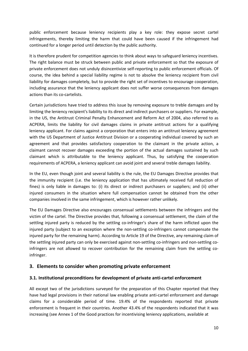public enforcement because leniency recipients play a key role: they expose secret cartel infringements, thereby limiting the harm that could have been caused if the infringement had continued for a longer period until detection by the public authority.

It is therefore prudent for competition agencies to think about ways to safeguard leniency incentives. The right balance must be struck between public and private enforcement so that the exposure of private enforcement does not unduly disincentivize self-reporting to public enforcement officials. Of course, the idea behind a special liability regime is not to absolve the leniency recipient from civil liability for damages completely, but to provide the right set of incentives to encourage cooperation, including assurance that the leniency applicant does not suffer worse consequences from damages actions than its co-cartelists.

Certain jurisdictions have tried to address this issue by removing exposure to treble damages and by limiting the leniency recipient's liability to its direct and indirect purchasers or suppliers. For example, in the US, the Antitrust Criminal Penalty Enhancement and Reform Act of 2004, also referred to as ACPERA, limits the liability for civil damages claims in private antitrust actions for a qualifying leniency applicant. For claims against a corporation that enters into an antitrust leniency agreement with the US Department of Justice Antitrust Division or a cooperating individual covered by such an agreement and that provides satisfactory cooperation to the claimant in the private action, a claimant cannot recover damages exceeding the portion of the actual damages sustained by such claimant which is attributable to the leniency applicant. Thus, by satisfying the cooperation requirements of ACPERA, a leniency applicant can avoid joint and several treble damages liability.

In the EU, even though joint and several liability is the rule, the EU Damages Directive provides that the immunity recipient (i.e. the leniency application that has ultimately received full reduction of fines) is only liable in damages to: (i) its direct or indirect purchasers or suppliers; and (ii) other injured consumers in the situation where full compensation cannot be obtained from the other companies involved in the same infringement, which is however rather unlikely.

The EU Damages Directive also encourages consensual settlements between the infringers and the victim of the cartel. The Directive provides that, following a consensual settlement, the claim of the settling injured party is reduced by the settling co-infringer's share of the harm inflicted upon the injured party (subject to an exception where the non-settling co-infringers cannot compensate the injured party for the remaining harm). According to Article 19 of the Directive, any remaining claim of the settling injured party can only be exercised against non-settling co-infringers and non-settling coinfringers are not allowed to recover contribution for the remaining claim from the settling coinfringer.

# <span id="page-10-0"></span>**3. Elements to consider when promoting private enforcement**

#### <span id="page-10-1"></span>**3.1. Institutional preconditions for development of private anti-cartel enforcement**

All except two of the jurisdictions surveyed for the preparation of this Chapter reported that they have had legal provisions in their national law enabling private anti-cartel enforcement and damage claims for a considerable period of time. 19.4% of the respondents reported that private enforcement is frequent in their countries. Another 43.4% of the respondents indicated that it was increasing (see Annex 1 of the Good practices for incentivising leniency applications, available at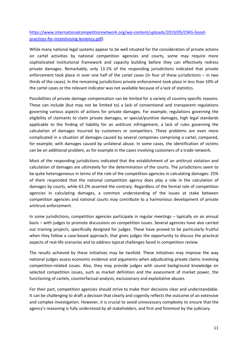[https://www.internationalcompetitionnetwork.org/wp-content/uploads/2019/05/CWG-Good](https://www.internationalcompetitionnetwork.org/wp-content/uploads/2019/05/CWG-Good-practices-for-incentivising-leniency.pdf)[practices-for-incentivising-leniency.pdf\)](https://www.internationalcompetitionnetwork.org/wp-content/uploads/2019/05/CWG-Good-practices-for-incentivising-leniency.pdf).

While many national legal systems appear to be well situated for the consideration of private actions on cartel activities by national competition agencies and courts, some may require more sophisticated institutional framework and capacity building before they can effectively redress private damages. Remarkably, only 13.1% of the responding jurisdictions indicated that private enforcement took place in over one half of the cartel cases (in four of these jurisdictions – in two thirds of the cases). In the remaining jurisdictions private enforcement took place in less than 10% of the cartel cases or the relevant indicator was not available because of a lack of statistics.

Possibilities of private damage compensation can be limited for a variety of country-specific reasons. These can include (but may not be limited to) a lack of conventional and transparent regulations governing various aspects of actions for private damages. For example, regulations governing the eligibility of claimants to claim private damages, or special/punitive damages, high legal standards applicable to the finding of liability for an antitrust infringement, a lack of rules governing the calculation of damages incurred by customers or competitors. These problems are even more complicated in a situation of damages caused by several companies comprising a cartel, compared, for example, with damages caused by unilateral abuse. In some cases, the identification of victims can be an additional problem, as for example in the cases involving customers of a trade network.

Most of the responding jurisdictions indicated that the establishment of an antitrust violation and calculation of damages are ultimately for the determination of the courts. The jurisdictions seem to be quite heterogeneous in terms of the role of the competition agencies in calculating damages: 25% of them responded that the national competition agency does play a role in the calculation of damages by courts, while 63.2% asserted the contrary. Regardless of the formal role of competition agencies in calculating damages, a common understanding of the issues at stake between competition agencies and national courts may contribute to a harmonious development of private antitrust enforcement.

In some jurisdictions, competition agencies participate in regular meetings – typically on an annual basis – with judges to promote discussions on competition issues. Several agencies have also carried out training projects, specifically designed for judges. These have proved to be particularly fruitful when they follow a case-based approach, that gives judges the opportunity to discuss the practical aspects of real-life scenarios and to address typical challenges faced in competition review.

The results achieved by these initiatives may be twofold. These initiatives may improve the way national judges assess economic evidence and arguments when adjudicating private claims involving competition-related issues. Also, they may provide judges with sound background knowledge on selected competition issues, such as market definition and the assessment of market power, the functioning of cartels, counterfactual analysis, exclusionary and exploitative abuses.

For their part, competition agencies should strive to make their decisions clear and understandable. It can be challenging to draft a decision that clearly and cogently reflects the outcome of an extensive and complex investigation. However, it is crucial to avoid unnecessary complexity to ensure that the agency's reasoning is fully understood by all stakeholders, and first and foremost by the judiciary.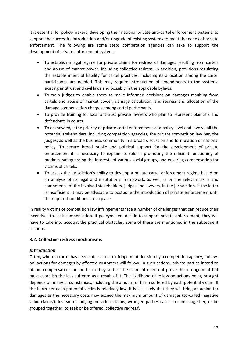It is essential for policy-makers, developing their national private anti-cartel enforcement systems, to support the successful introduction and/or upgrade of existing systems to meet the needs of private enforcement. The following are some steps competition agencies can take to support the development of private enforcement systems:

- To establish a legal regime for private claims for redress of damages resulting from cartels and abuse of market power, including collective redress. In addition, provisions regulating the establishment of liability for cartel practices, including its allocation among the cartel participants, are needed. This may require introduction of amendments to the systems' existing antitrust and civil laws and possibly in the applicable bylaws.
- To train judges to enable them to make informed decisions on damages resulting from cartels and abuse of market power, damage calculation, and redress and allocation of the damage compensation charges among cartel participants.
- To provide training for local antitrust private lawyers who plan to represent plaintiffs and defendants in courts.
- To acknowledge the priority of private cartel enforcement at a policy level and involve all the potential stakeholders, including competition agencies, the private competition law bar, the judges, as well as the business community in a broad discussion and formulation of national policy. To secure broad public and political support for the development of private enforcement it is necessary to explain its role in promoting the efficient functioning of markets, safeguarding the interests of various social groups, and ensuring compensation for victims of cartels.
- To assess the jurisdiction's ability to develop a private cartel enforcement regime based on an analysis of its legal and institutional framework, as well as on the relevant skills and competence of the involved stakeholders, judges and lawyers, in the jurisdiction. If the latter is insufficient, it may be advisable to postpone the introduction of private enforcement until the required conditions are in place.

In reality victims of competition law infringements face a number of challenges that can reduce their incentives to seek compensation. If policymakers decide to support private enforcement, they will have to take into account the practical obstacles. Some of these are mentioned in the subsequent sections.

# <span id="page-12-0"></span>**3.2. Collective redress mechanisms**

#### <span id="page-12-1"></span>*Introduction*

Often, where a cartel has been subject to an infringement decision by a competition agency, 'followon' actions for damages by affected customers will follow. In such actions, private parties intend to obtain compensation for the harm they suffer. The claimant need not prove the infringement but must establish the loss suffered as a result of it. The likelihood of follow-on actions being brought depends on many circumstances, including the amount of harm suffered by each potential victim. If the harm per each potential victim is relatively low, it is less likely that they will bring an action for damages as the necessary costs may exceed the maximum amount of damages (so-called 'negative value claims'). Instead of lodging individual claims, wronged parties can also come together, or be grouped together, to seek or be offered 'collective redress'.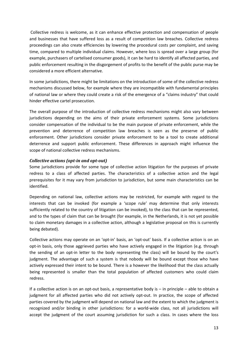Collective redress is welcome, as it can enhance effective protection and compensation of people and businesses that have suffered loss as a result of competition law breaches. Collective redress proceedings can also create efficiencies by lowering the procedural costs per complaint, and saving time, compared to multiple individual claims. However, where loss is spread over a large group (for example, purchasers of cartelised consumer goods), it can be hard to identify all affected parties, and public enforcement resulting in the disgorgement of profits to the benefit of the public purse may be considered a more efficient alternative.

In some jurisdictions, there might be limitations on the introduction of some of the collective redress mechanisms discussed below, for example where they are incompatible with fundamental principles of national law or where they could create a risk of the emergence of a "claims industry" that could hinder effective cartel prosecution.

The overall purpose of the introduction of collective redress mechanisms might also vary between jurisdictions depending on the aims of their private enforcement systems. Some jurisdictions consider compensation of the individual to be the main purpose of private enforcement, while the prevention and deterrence of competition law breaches is seen as the preserve of public enforcement. Other jurisdictions consider private enforcement to be a tool to create additional deterrence and support public enforcement. These differences in approach might influence the scope of national collective redress mechanisms.

#### <span id="page-13-0"></span>*Collective actions (opt-in and opt-out)*

Some jurisdictions provide for some type of collective action litigation for the purposes of private redress to a class of affected parties. The characteristics of a collective action and the legal prerequisites for it may vary from jurisdiction to jurisdiction, but some main characteristics can be identified.

Depending on national law, collective actions may be restricted, for example with regard to the interests that can be invoked (for example a 'scope rule' may determine that only interests sufficiently related to the country of litigation can be invoked), to the class that can be represented, and to the types of claim that can be brought (for example, in the Netherlands, it is not yet possible to claim monetary damages in a collective action, although a legislative proposal on this is currently being debated).

Collective actions may operate on an 'opt-in' basis, an 'opt-out' basis. If a collective action is on an opt-in basis, only those aggrieved parties who have actively engaged in the litigation (e.g. through the sending of an opt-in letter to the body representing the class) will be bound by the court's judgment. The advantage of such a system is that nobody will be bound except those who have actively expressed their intent to be bound. There is a however the likelihood that the class actually being represented is smaller than the total population of affected customers who could claim redress.

If a collective action is on an opt-out basis, a representative body is  $-$  in principle  $-$  able to obtain a judgment for all affected parties who did not actively opt-out. In practice, the scope of affected parties covered by the judgment will depend on national law and the extent to which the judgment is recognized and/or binding in other jurisdictions: for a world-wide class, not all jurisdictions will accept the judgment of the court assuming jurisdiction for such a class. In cases where the loss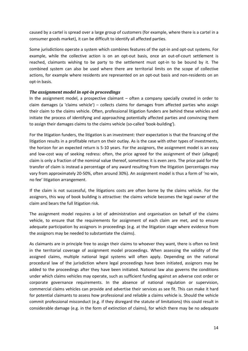caused by a cartel is spread over a large group of customers (for example, where there is a cartel in a consumer goods market), it can be difficult to identify all affected parties.

Some jurisdictions operate a system which combines features of the opt-in and opt-out systems. For example, while the collective action is on an opt-out basis, once an out-of-court settlement is reached, claimants wishing to be party to the settlement must opt-in to be bound by it. The combined system can also be used where there are territorial limits on the scope of collective actions, for example where residents are represented on an opt-out basis and non-residents on an opt-in basis.

#### <span id="page-14-0"></span>*The assignment model in opt-in proceedings*

In the assignment model, a prospective claimant – often a company specially created in order to claim damages (a 'claims vehicle') – collects claims for damages from affected parties who assign their claim to the claims vehicle. Often, professional litigation funders are behind these vehicles and initiate the process of identifying and approaching potentially affected parties and convincing them to assign their damages claims to the claims vehicle (so-called 'book-building').

For the litigation funders, the litigation is an investment: their expectation is that the financing of the litigation results in a profitable return on their outlay. As is the case with other types of investments, the horizon for an expected return is 5-10 years. For the assignors, the assignment model is an easy and low-cost way of seeking redress: often, the price agreed for the assignment of their (alleged) claim is only a fraction of the nominal value thereof, sometimes it is even zero. The price paid for the transfer of claim is instead a percentage of any award resulting from the litigation (percentages may vary from approximately 20-50%, often around 30%). An assignment model is thus a form of 'no win, no fee' litigation arrangement.

If the claim is not successful, the litigations costs are often borne by the claims vehicle. For the assignors, this way of book building is attractive: the claims vehicle becomes the legal owner of the claim and bears the full litigation risk.

The assignment model requires a lot of administration and organisation on behalf of the claims vehicle, to ensure that the requirements for assignment of each claim are met, and to ensure adequate participation by assignors in proceedings (e.g. at the litigation stage where evidence from the assignors may be needed to substantiate the claims).

As claimants are in principle free to assign their claims to whoever they want, there is often no limit in the territorial coverage of assignment model proceedings. When assessing the validity of the assigned claims, multiple national legal systems will often apply. Depending on the national procedural law of the jurisdiction where legal proceedings have been initiated, assignors may be added to the proceedings after they have been initiated. National law also governs the conditions under which claims vehicles may operate, such as sufficient funding against an adverse cost order or corporate governance requirements. In the absence of national regulation or supervision, commercial claims vehicles can provide and advertise their services as see fit. This can make it hard for potential claimants to assess how professional and reliable a claims vehicle is. Should the vehicle commit professional misconduct (e.g. if they disregard the statute of limitations) this could result in considerable damage (e.g. in the form of extinction of claims), for which there may be no adequate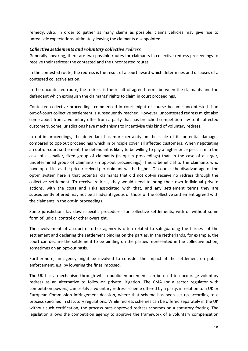remedy. Also, in order to gather as many claims as possible, claims vehicles may give rise to unrealistic expectations, ultimately leaving the claimants disappointed.

#### <span id="page-15-0"></span>*Collective settlements and voluntary collective redress*

Generally speaking, there are two possible routes for claimants in collective redress proceedings to receive their redress: the contested and the uncontested routes.

In the contested route, the redress is the result of a court award which determines and disposes of a contested collective action.

In the uncontested route, the redress is the result of agreed terms between the claimants and the defendant which extinguish the claimants' rights to claim in court proceedings.

Contested collective proceedings commenced in court might of course become uncontested if an out-of-court collective settlement is subsequently reached. However, uncontested redress might also come about from a voluntary offer from a party that has breached competition law to its affected customers. Some jurisdictions have mechanisms to incentivise this kind of voluntary redress.

In opt-in proceedings, the defendant has more certainty on the scale of its potential damages compared to opt-out proceedings which in principle cover all affected customers. When negotiating an out-of-court settlement, the defendant is likely to be willing to pay a higher price per claim in the case of a smaller, fixed group of claimants (in opt-in proceedings) than in the case of a larger, undetermined group of claimants (in opt-out proceedings). This is beneficial to the claimants who have opted-in, as the price received per claimant will be higher. Of course, the disadvantage of the opt-in system here is that potential claimants that did not opt-in receive no redress through the collective settlement. To receive redress, they would need to bring their own individual private actions, with the costs and risks associated with that, and any settlement terms they are subsequently offered may not be as advantageous of those of the collective settlement agreed with the claimants in the opt-in proceedings.

Some jurisdictions lay down specific procedures for collective settlements, with or without some form of judicial control or other oversight.

The involvement of a court or other agency is often related to safeguarding the fairness of the settlement and declaring the settlement binding on the parties. In the Netherlands, for example, the court can declare the settlement to be binding on the parties represented in the collective action, sometimes on an opt-out basis.

Furthermore, an agency might be involved to consider the impact of the settlement on public enforcement, e.g. by lowering the fines imposed.

The UK has a mechanism through which public enforcement can be used to encourage voluntary redress as an alternative to follow-on private litigation. The CMA (or a sector regulator with competition powers) can certify a voluntary redress scheme offered by a party, in relation to a UK or European Commission infringement decision, where that scheme has been set up according to a process specified in statutory regulations. While redress schemes can be offered separately in the UK without such certification, the process puts approved redress schemes on a statutory footing. The legislation allows the competition agency to approve the framework of a voluntary compensation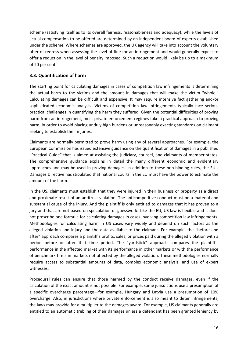scheme (satisfying itself as to its overall fairness, reasonableness and adequacy), while the levels of actual compensation to be offered are determined by an independent board of experts established under the scheme. Where schemes are approved, the UK agency will take into account the voluntary offer of redress when assessing the level of fine for an infringement and would generally expect to offer a reduction in the level of penalty imposed. Such a reduction would likely be up to a maximum of 20 per cent.

# <span id="page-16-0"></span>**3.3. Quantification of harm**

The starting point for calculating damages in cases of competition law infringements is determining the actual harm to the victims and the amount in damages that will make the victim "whole." Calculating damages can be difficult and expensive. It may require intensive fact gathering and/or sophisticated economic analysis. Victims of competition law infringements typically face serious practical challenges in quantifying the harm they suffered. Given the potential difficulties of proving harm from an infringement, most private enforcement regimes take a practical approach to proving harm, in order to avoid placing unduly high burdens or unreasonably exacting standards on claimant seeking to establish their injuries.

Claimants are normally permitted to prove harm using any of several approaches. For example, the European Commission has issued extensive guidance on the quantification of damages in a published "Practical Guide" that is aimed at assisting the judiciary, counsel, and claimants of member states. The comprehensive guidance explains in detail the many different economic and evidentiary approaches and may be used in proving damages. In addition to these non-binding rules, the EU's Damages Directive has stipulated that national courts in the EU must have the power to estimate the amount of the harm.

In the US, claimants must establish that they were injured in their business or property as a direct and proximate result of an antitrust violation. The anticompetitive conduct must be a material and substantial cause of the injury. And the plaintiff is only entitled to damages that it has proven to a jury and that are not based on speculation or guesswork. Like the EU, US law is flexible and it does not prescribe one formula for calculating damages in cases involving competition law infringements. Methodologies for calculating harm in US cases vary widely and depend on such factors as the alleged violation and injury and the data available to the claimant. For example, the "before and after" approach compares a plaintiff's profits, sales, or prices paid during the alleged violation with a period before or after that time period. The "yardstick" approach compares the plaintiff's performance in the affected market with its performance in other markets or with the performance of benchmark firms in markets not affected by the alleged violation. These methodologies normally require access to substantial amounts of data, complex economic analysis, and use of expert witnesses.

Procedural rules can ensure that those harmed by the conduct receive damages, even if the calculation of the exact amount is not possible. For example, some jurisdictions use a presumption of a specific overcharge percentage―for example, Hungary and Latvia use a presumption of 10% overcharge. Also, in jurisdictions where private enforcement is also meant to deter infringements, the laws may provide for a multiplier to the damages award. For example, US claimants generally are entitled to an automatic trebling of their damages unless a defendant has been granted leniency by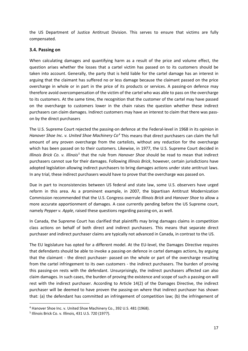the US Department of Justice Antitrust Division. This serves to ensure that victims are fully compensated.

#### <span id="page-17-0"></span>**3.4. Passing on**

When calculating damages and quantifying harm as a result of the price and volume effect, the question arises whether the losses that a cartel victim has passed on to its customers should be taken into account. Generally, the party that is held liable for the cartel damage has an interest in arguing that the claimant has suffered no or less damage because the claimant passed on the price overcharge in whole or in part in the price of its products or services. A passing-on defence may therefore avoid overcompensation of the victim of the cartel who was able to pass on the overcharge to its customers. At the same time, the recognition that the customer of the cartel may have passed on the overcharge to customers lower in the chain raises the question whether these indirect purchasers can claim damages. Indirect customers may have an interest to claim that there was passon by the direct purchasers

The U.S. Supreme Court rejected the passing-on defence at the Federal-level in 1968 in its opinion in *Hanover Shoe Inc*. *v. United Shoe Machinery Co[4](#page-17-1)* This means that direct purchasers can claim the full amount of any proven overcharge from the cartelists, without any reduction for the overcharge which has been passed on to their customers. Likewise, in 1977, the U.S. Supreme Court decided in *Illinois Brick Co. v. Illinois[5](#page-17-2)* that the rule from *Hanover Shoe* should be read to mean that indirect purchasers cannot sue for their damages. Following *Illinois Brick*, however, certain jurisdictions have adopted legislation allowing indirect purchasers to bring damages actions under state antitrust laws. In any trial, these indirect purchasers would have to prove that the overcharge was passed on.

Due in part to inconsistencies between US federal and state law, some U.S. observers have urged reform in this area. As a prominent example, in 2007, the bipartisan Antitrust Modernization Commission recommended that the U.S. Congress overrule *Illinois Brick* and *Hanover Shoe* to allow a more accurate apportionment of damages. A case currently pending before the US Supreme court, namely *Pepper v. Apple*, raised these questions regarding passing-on, as well.

In Canada, the Supreme Court has clarified that plaintiffs may bring damages claims in competition class actions on behalf of both direct and indirect purchasers. This means that separate direct purchaser and indirect purchaser claims are typically not advanced in Canada, in contrast to the US.

The EU legislature has opted for a different model. At the EU-level, the Damages Directive requires that defendants should be able to invoke a passing-on defence in cartel damages actions, by arguing that the claimant - the direct purchaser- passed on the whole or part of the overcharge resulting from the cartel infringement to its own customers - the indirect purchasers. The burden of proving this passing-on rests with the defendant. Unsurprisingly, the indirect purchasers affected can also claim damages. In such cases, the burden of proving the existence and scope of such a passing-on will rest with the indirect purchaser. According to Article 14(2) of the Damages Directive, the indirect purchaser will be deemed to have proven the passing-on where that indirect purchaser has shown that: (a) the defendant has committed an infringement of competition law; (b) the infringement of

<span id="page-17-1"></span> <sup>4</sup> Hanover Shoe Inc. v. United Shoe Machinery Co., 392 U.S. 481 (1968).

<span id="page-17-2"></span><sup>5</sup> Illinois Brick Co. v. Illinois, 431 U.S. 720 (1977).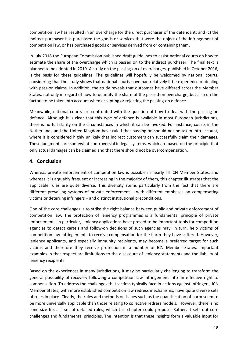competition law has resulted in an overcharge for the direct purchaser of the defendant; and (c) the indirect purchaser has purchased the goods or services that were the object of the infringement of competition law, or has purchased goods or services derived from or containing them.

In July 2018 the European Commission published draft guidelines to assist national courts on how to estimate the share of the overcharge which is passed on to the indirect purchaser. The final text is planned to be adopted in 2019. A study on the passing-on of overcharges, published in October 2016, is the basis for these guidelines. The guidelines will hopefully be welcomed by national courts, considering that the study shows that national courts have had relatively little experience of dealing with pass-on claims. In addition, the study reveals that outcomes have differed across the Member States, not only in regard of how to quantify the share of the passed-on overcharge, but also on the factors to be taken into account when accepting or rejecting the passing-on defence.

Meanwhile, national courts are confronted with the question of how to deal with the passing on defence. Although it is clear that this type of defence is available in most European jurisdictions, there is no full clarity on the circumstances in which it can be invoked. For instance, courts in the Netherlands and the United Kingdom have ruled that passing-on should not be taken into account, where it is considered highly unlikely that indirect customers can successfully claim their damages. These judgments are somewhat controversial in legal systems, which are based on the principle that only actual damages can be claimed and that there should not be overcompensation.

# <span id="page-18-0"></span>**4. Conclusion**

Whereas private enforcement of competition law is possible in nearly all ICN Member States, and whereas it is arguably frequent or increasing in the majority of them, this chapter illustrates that the applicable rules are quite diverse. This diversity stems particularly from the fact that there are different prevailing systems of private enforcement – with different emphases on compensating victims or deterring infringers – and distinct institutional preconditions.

One of the core challenges is to strike the right balance between public and private enforcement of competition law. The protection of leniency programmes is a fundamental principle of private enforcement. In particular, leniency applications have proved to be important tools for competition agencies to detect cartels and follow-on decisions of such agencies may, in turn, help victims of competition law infringements to receive compensation for the harm they have suffered. However, leniency applicants, and especially immunity recipients, may become a preferred target for such victims and therefore they receive protection in a number of ICN Member States. Important examples in that respect are limitations to the disclosure of leniency statements and the liability of leniency recipients.

Based on the experiences in many jurisdictions, it may be particularly challenging to transform the general possibility of recovery following a competition law infringement into an effective right to compensation. To address the challenges that victims typically face in actions against infringers, ICN Member States, with more established competition law redress mechanisms, have quite diverse sets of rules in place. Clearly, the rules and methods on issues such as the quantification of harm seem to be more universally applicable than those relating to collective redress models. However, there is no "one size fits all" set of detailed rules, which this chapter could propose. Rather, it sets out core challenges and fundamental principles. The intention is that these insights form a valuable input for